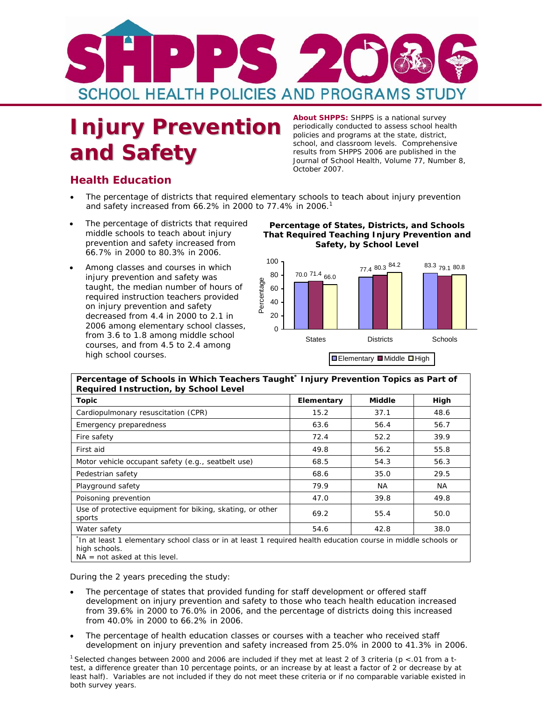

## **Injury Prevention** periodically conducted to assess school health **Injury Prevention** policies and programs at the state, district, **and Safety Salute Complements Complements Complements School** results from SHPPS 2006 are published in the *Journal of School Health,* Volume 77, Number 8,

**About SHPPS:** SHPPS is a national survey<br>periodically conducted to assess school health school, and classroom levels. Comprehensive October 2007*.* 

## **Health Education**

- The percentage of districts that required elementary schools to teach about injury prevention and safety increased from 66.2% in 2000 to 77.4% in 2006.<sup>1</sup>
- prevention and safety increased from **Safety, by School Level** 66.7% in 2000 to 80.3% in 2006.
- injury prevention and safety was<br>taught, the median number of hours of  $\frac{80}{86}$  60<br>required instruction teachers provided on injury prevention and safety taught, the median number of hours of  $\frac{60}{50}$  60 required instruction and safety was<br>taught, the median number of hours of  $\frac{80}{2}$  60<br>on injury prevention and safety decreased from 4.4 in 2000 to 2.1 in 2006 among elementary school classes, from 3.6 to 1.8 among middle school courses, and from 4.5 to 2.4 among high school courses. The elementary Middle High

The percentage of districts that required **Percentage of States, Districts, and Schools**<br>
middle schools to teach about injury **That Required Teaching Injury Prevention and That Required Teaching Injury Prevention and** 



| Percentage of Schools in Which Teachers Taught* Injury Prevention Topics as Part of<br>Required Instruction, by School Level                                      |            |               |      |  |
|-------------------------------------------------------------------------------------------------------------------------------------------------------------------|------------|---------------|------|--|
| <b>Topic</b>                                                                                                                                                      | Elementary | <b>Middle</b> | High |  |
| Cardiopulmonary resuscitation (CPR)                                                                                                                               | 15.2       | 37.1          | 48.6 |  |
| Emergency preparedness                                                                                                                                            | 63.6       | 56.4          | 56.7 |  |
| Fire safety                                                                                                                                                       | 72.4       | 52.2          | 39.9 |  |
| First aid                                                                                                                                                         | 49.8       | 56.2          | 55.8 |  |
| Motor vehicle occupant safety (e.g., seatbelt use)                                                                                                                | 68.5       | 54.3          | 56.3 |  |
| Pedestrian safety                                                                                                                                                 | 68.6       | 35.0          | 29.5 |  |
| Playground safety                                                                                                                                                 | 79.9       | NA.           | NA.  |  |
| Poisoning prevention                                                                                                                                              | 47.0       | 39.8          | 49.8 |  |
| Use of protective equipment for biking, skating, or other<br>sports                                                                                               | 69.2       | 55.4          | 50.0 |  |
| Water safety                                                                                                                                                      | 54.6       | 42.8          | 38.0 |  |
| *In at least 1 elementary school class or in at least 1 required health education course in middle schools or<br>high schools.<br>$NA = not asked at this level.$ |            |               |      |  |

During the 2 years preceding the study:

- The percentage of states that provided funding for staff development or offered staff development on injury prevention and safety to those who teach health education increased from 39.6% in 2000 to 76.0% in 2006, and the percentage of districts doing this increased from 40.0% in 2000 to 66.2% in 2006.
- The percentage of health education classes or courses with a teacher who received staff development on injury prevention and safety increased from 25.0% in 2000 to 41.3% in 2006.

<sup>1</sup> Selected changes between 2000 and 2006 are included if they met at least 2 of 3 criteria ( $p < 01$  from a ttest, a difference greater than 10 percentage points, or an increase by at least a factor of 2 or decrease by at least half). Variables are not included if they do not meet these criteria or if no comparable variable existed in both survey years.